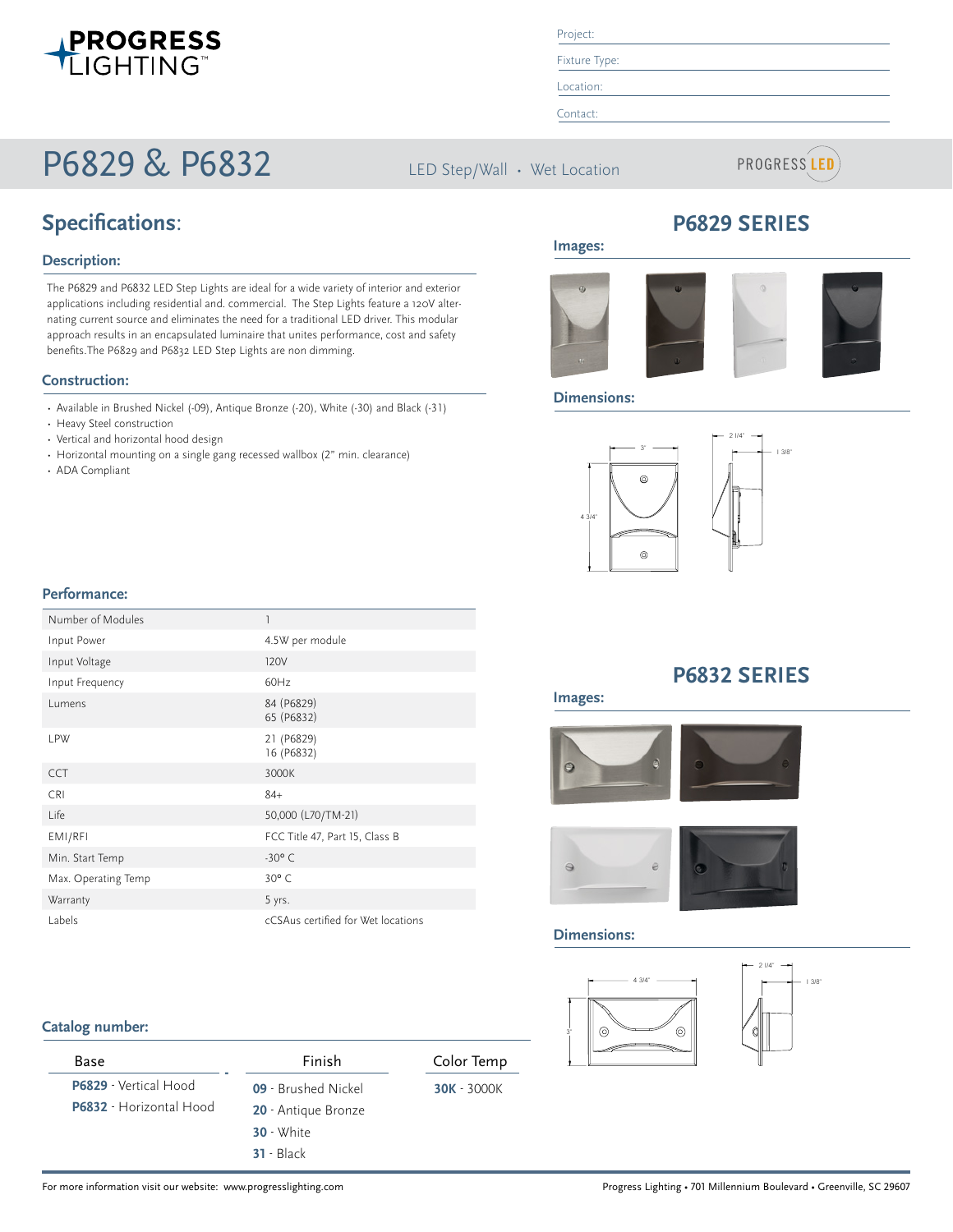

# P6829 & P6832

Project:

Fixture Type:

Location:

Contact:

**Images:**

LED Step/Wall · Wet Location



## **Specifications**:

#### **Description:**

The P6829 and P6832 LED Step Lights are ideal for a wide variety of interior and exterior applications including residential and. commercial. The Step Lights feature a 120V alternating current source and eliminates the need for a traditional LED driver. This modular approach results in an encapsulated luminaire that unites performance, cost and safety benefits.The P6829 and P6832 LED Step Lights are non dimming.

#### **Construction:**

- Available in Brushed Nickel (-09), Antique Bronze (-20), White (-30) and Black (-31)
- Heavy Steel construction
- Vertical and horizontal hood design
- Horizontal mounting on a single gang recessed wallbox (2" min. clearance)
- ADA Compliant

## **P6829 SERIES**

**HORIZONTAL HOOD**

**VERTICAL LOUIS CONTINUES** 



#### **Dimensions:**



**VERTICAL HOOD**

# 1 3/8"

#### **Performance:**

| Number of Modules   | $\overline{1}$                     |
|---------------------|------------------------------------|
| Input Power         | 4.5W per module                    |
| Input Voltage       | 120V                               |
| Input Frequency     | 60Hz                               |
| Lumens              | 84 (P6829)<br>65 (P6832)           |
| <b>LPW</b>          | 21 (P6829)<br>16 (P6832)           |
| <b>CCT</b>          | 3000K                              |
| <b>CRI</b>          | $84+$                              |
| Life                | 50,000 (L70/TM-21)                 |
| EMI/RFI             | FCC Title 47, Part 15, Class B     |
| Min. Start Temp     | $-30^{\circ}$ C                    |
| Max. Operating Temp | $30^{\circ}$ C                     |
| Warranty            | 5 yrs.                             |
| Labels              | cCSAus certified for Wet locations |

#### **Catalog number:**

| Base                    | Finish              | Color Temp    |
|-------------------------|---------------------|---------------|
| P6829 - Vertical Hood   | 09 - Brushed Nickel | $30K - 3000K$ |
| P6832 - Horizontal Hood | 20 - Antique Bronze |               |
|                         | $30 - White$        |               |
|                         | $31 - Black$        |               |

### **P6832 SERIES**



Ī





#### **Dimensions:**